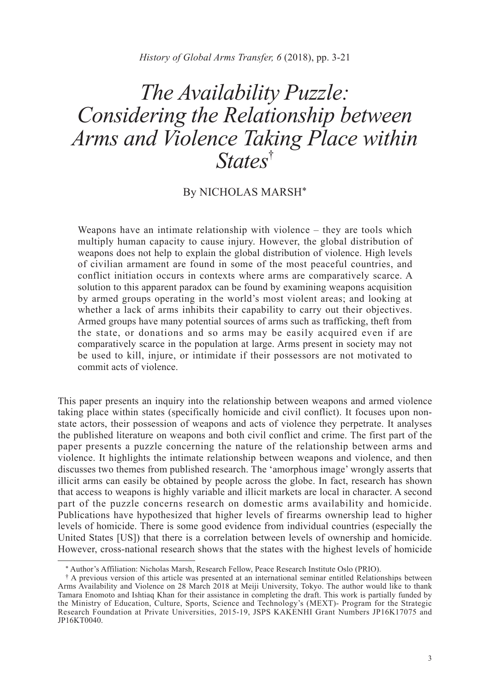*History of Global Arms Transfer, 6* (2018), pp. 3-21

# *The Availability Puzzle: Considering the Relationship between Arms and Violence Taking Place within States*†

# By NICHOLAS MARSH\*

Weapons have an intimate relationship with violence – they are tools which multiply human capacity to cause injury. However, the global distribution of weapons does not help to explain the global distribution of violence. High levels of civilian armament are found in some of the most peaceful countries, and conflict initiation occurs in contexts where arms are comparatively scarce. A solution to this apparent paradox can be found by examining weapons acquisition by armed groups operating in the world's most violent areas; and looking at whether a lack of arms inhibits their capability to carry out their objectives. Armed groups have many potential sources of arms such as trafficking, theft from the state, or donations and so arms may be easily acquired even if are comparatively scarce in the population at large. Arms present in society may not be used to kill, injure, or intimidate if their possessors are not motivated to commit acts of violence.

This paper presents an inquiry into the relationship between weapons and armed violence taking place within states (specifically homicide and civil conflict). It focuses upon nonstate actors, their possession of weapons and acts of violence they perpetrate. It analyses the published literature on weapons and both civil conflict and crime. The first part of the paper presents a puzzle concerning the nature of the relationship between arms and violence. It highlights the intimate relationship between weapons and violence, and then discusses two themes from published research. The 'amorphous image' wrongly asserts that illicit arms can easily be obtained by people across the globe. In fact, research has shown that access to weapons is highly variable and illicit markets are local in character. A second part of the puzzle concerns research on domestic arms availability and homicide. Publications have hypothesized that higher levels of firearms ownership lead to higher levels of homicide. There is some good evidence from individual countries (especially the United States [US]) that there is a correlation between levels of ownership and homicide. However, cross-national research shows that the states with the highest levels of homicide

<sup>\*</sup> Author's Affiliation: Nicholas Marsh, Research Fellow, Peace Research Institute Oslo (PRIO).

<sup>†</sup> A previous version of this article was presented at an international seminar entitled Relationships between Arms Availability and Violence on 28 March 2018 at Meiji University, Tokyo. The author would like to thank Tamara Enomoto and Ishtiaq Khan for their assistance in completing the draft. This work is partially funded by the Ministry of Education, Culture, Sports, Science and Technology's (MEXT)- Program for the Strategic Research Foundation at Private Universities, 2015-19, JSPS KAKENHI Grant Numbers JP16K17075 and JP16KT0040.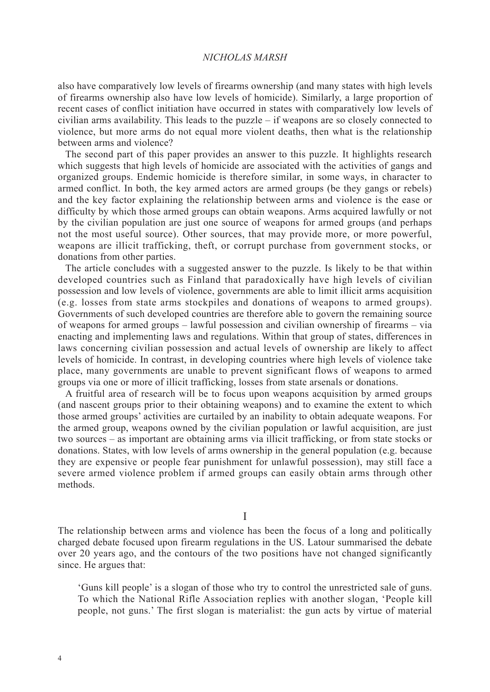also have comparatively low levels of firearms ownership (and many states with high levels of firearms ownership also have low levels of homicide). Similarly, a large proportion of recent cases of conflict initiation have occurred in states with comparatively low levels of civilian arms availability. This leads to the puzzle – if weapons are so closely connected to violence, but more arms do not equal more violent deaths, then what is the relationship between arms and violence?

The second part of this paper provides an answer to this puzzle. It highlights research which suggests that high levels of homicide are associated with the activities of gangs and organized groups. Endemic homicide is therefore similar, in some ways, in character to armed conflict. In both, the key armed actors are armed groups (be they gangs or rebels) and the key factor explaining the relationship between arms and violence is the ease or difficulty by which those armed groups can obtain weapons. Arms acquired lawfully or not by the civilian population are just one source of weapons for armed groups (and perhaps not the most useful source). Other sources, that may provide more, or more powerful, weapons are illicit trafficking, theft, or corrupt purchase from government stocks, or donations from other parties.

The article concludes with a suggested answer to the puzzle. Is likely to be that within developed countries such as Finland that paradoxically have high levels of civilian possession and low levels of violence, governments are able to limit illicit arms acquisition (e.g. losses from state arms stockpiles and donations of weapons to armed groups). Governments of such developed countries are therefore able to govern the remaining source of weapons for armed groups – lawful possession and civilian ownership of firearms – via enacting and implementing laws and regulations. Within that group of states, differences in laws concerning civilian possession and actual levels of ownership are likely to affect levels of homicide. In contrast, in developing countries where high levels of violence take place, many governments are unable to prevent significant flows of weapons to armed groups via one or more of illicit trafficking, losses from state arsenals or donations.

A fruitful area of research will be to focus upon weapons acquisition by armed groups (and nascent groups prior to their obtaining weapons) and to examine the extent to which those armed groups' activities are curtailed by an inability to obtain adequate weapons. For the armed group, weapons owned by the civilian population or lawful acquisition, are just two sources – as important are obtaining arms via illicit trafficking, or from state stocks or donations. States, with low levels of arms ownership in the general population (e.g. because they are expensive or people fear punishment for unlawful possession), may still face a severe armed violence problem if armed groups can easily obtain arms through other methods.

I

The relationship between arms and violence has been the focus of a long and politically charged debate focused upon firearm regulations in the US. Latour summarised the debate over 20 years ago, and the contours of the two positions have not changed significantly since. He argues that:

'Guns kill people' is a slogan of those who try to control the unrestricted sale of guns. To which the National Rifle Association replies with another slogan, 'People kill people, not guns.' The first slogan is materialist: the gun acts by virtue of material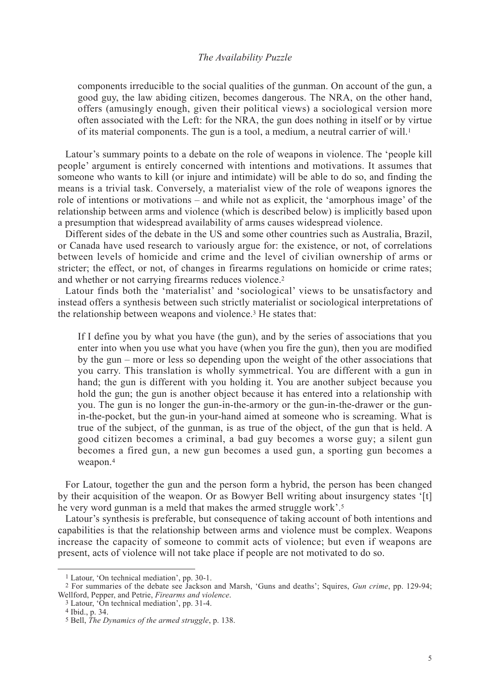components irreducible to the social qualities of the gunman. On account of the gun, a good guy, the law abiding citizen, becomes dangerous. The NRA, on the other hand, offers (amusingly enough, given their political views) a sociological version more often associated with the Left: for the NRA, the gun does nothing in itself or by virtue of its material components. The gun is a tool, a medium, a neutral carrier of will.1

Latour's summary points to a debate on the role of weapons in violence. The 'people kill people' argument is entirely concerned with intentions and motivations. It assumes that someone who wants to kill (or injure and intimidate) will be able to do so, and finding the means is a trivial task. Conversely, a materialist view of the role of weapons ignores the role of intentions or motivations – and while not as explicit, the 'amorphous image' of the relationship between arms and violence (which is described below) is implicitly based upon a presumption that widespread availability of arms causes widespread violence.

Different sides of the debate in the US and some other countries such as Australia, Brazil, or Canada have used research to variously argue for: the existence, or not, of correlations between levels of homicide and crime and the level of civilian ownership of arms or stricter; the effect, or not, of changes in firearms regulations on homicide or crime rates; and whether or not carrying firearms reduces violence.2

Latour finds both the 'materialist' and 'sociological' views to be unsatisfactory and instead offers a synthesis between such strictly materialist or sociological interpretations of the relationship between weapons and violence.3 He states that:

If I define you by what you have (the gun), and by the series of associations that you enter into when you use what you have (when you fire the gun), then you are modified by the gun – more or less so depending upon the weight of the other associations that you carry. This translation is wholly symmetrical. You are different with a gun in hand; the gun is different with you holding it. You are another subject because you hold the gun; the gun is another object because it has entered into a relationship with you. The gun is no longer the gun-in-the-armory or the gun-in-the-drawer or the gunin-the-pocket, but the gun-in your-hand aimed at someone who is screaming. What is true of the subject, of the gunman, is as true of the object, of the gun that is held. A good citizen becomes a criminal, a bad guy becomes a worse guy; a silent gun becomes a fired gun, a new gun becomes a used gun, a sporting gun becomes a weapon.4

For Latour, together the gun and the person form a hybrid, the person has been changed by their acquisition of the weapon. Or as Bowyer Bell writing about insurgency states '[t] he very word gunman is a meld that makes the armed struggle work'.<sup>5</sup>

Latour's synthesis is preferable, but consequence of taking account of both intentions and capabilities is that the relationship between arms and violence must be complex. Weapons increase the capacity of someone to commit acts of violence; but even if weapons are present, acts of violence will not take place if people are not motivated to do so.

<sup>1</sup> Latour, 'On technical mediation', pp. 30-1.

<sup>2</sup> For summaries of the debate see Jackson and Marsh, 'Guns and deaths'; Squires, *Gun crime*, pp. 129-94; Wellford, Pepper, and Petrie, *Firearms and violence*.

<sup>3</sup> Latour, 'On technical mediation', pp. 31-4.

<sup>4</sup> Ibid., p. 34.

<sup>5</sup> Bell, *The Dynamics of the armed struggle*, p. 138.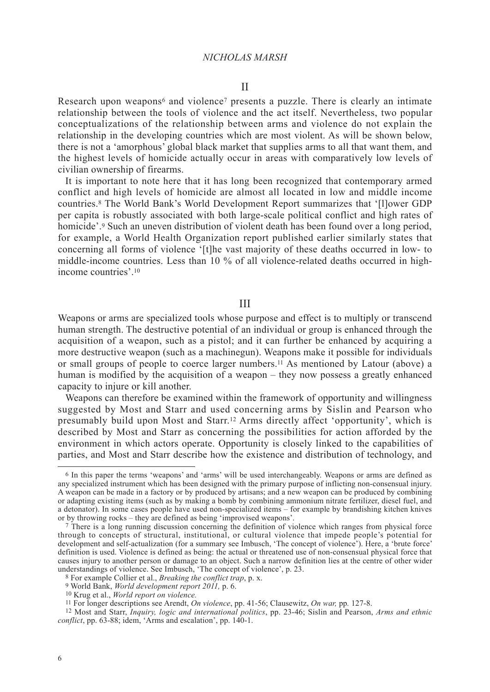Research upon weapons<sup>6</sup> and violence<sup>7</sup> presents a puzzle. There is clearly an intimate relationship between the tools of violence and the act itself. Nevertheless, two popular conceptualizations of the relationship between arms and violence do not explain the relationship in the developing countries which are most violent. As will be shown below, there is not a 'amorphous' global black market that supplies arms to all that want them, and the highest levels of homicide actually occur in areas with comparatively low levels of civilian ownership of firearms.

It is important to note here that it has long been recognized that contemporary armed conflict and high levels of homicide are almost all located in low and middle income countries.8 The World Bank's World Development Report summarizes that '[l]ower GDP per capita is robustly associated with both large-scale political conflict and high rates of homicide'.<sup>9</sup> Such an uneven distribution of violent death has been found over a long period, for example, a World Health Organization report published earlier similarly states that concerning all forms of violence '[t]he vast majority of these deaths occurred in low- to middle-income countries. Less than 10 % of all violence-related deaths occurred in highincome countries'.10

#### III

Weapons or arms are specialized tools whose purpose and effect is to multiply or transcend human strength. The destructive potential of an individual or group is enhanced through the acquisition of a weapon, such as a pistol; and it can further be enhanced by acquiring a more destructive weapon (such as a machinegun). Weapons make it possible for individuals or small groups of people to coerce larger numbers.11 As mentioned by Latour (above) a human is modified by the acquisition of a weapon – they now possess a greatly enhanced capacity to injure or kill another.

Weapons can therefore be examined within the framework of opportunity and willingness suggested by Most and Starr and used concerning arms by Sislin and Pearson who presumably build upon Most and Starr.12 Arms directly affect 'opportunity', which is described by Most and Starr as concerning the possibilities for action afforded by the environment in which actors operate. Opportunity is closely linked to the capabilities of parties, and Most and Starr describe how the existence and distribution of technology, and

<sup>6</sup> In this paper the terms 'weapons' and 'arms' will be used interchangeably. Weapons or arms are defined as any specialized instrument which has been designed with the primary purpose of inflicting non-consensual injury. A weapon can be made in a factory or by produced by artisans; and a new weapon can be produced by combining or adapting existing items (such as by making a bomb by combining ammonium nitrate fertilizer, diesel fuel, and a detonator). In some cases people have used non-specialized items – for example by brandishing kitchen knives or by throwing rocks – they are defined as being 'improvised weapons'.

<sup>7</sup> There is a long running discussion concerning the definition of violence which ranges from physical force through to concepts of structural, institutional, or cultural violence that impede people's potential for development and self-actualization (for a summary see Imbusch, 'The concept of violence'). Here, a 'brute force' definition is used. Violence is defined as being: the actual or threatened use of non-consensual physical force that causes injury to another person or damage to an object. Such a narrow definition lies at the centre of other wider understandings of violence. See Imbusch, 'The concept of violence', p. 23.

<sup>8</sup> For example Collier et al., *Breaking the conflict trap*, p. x.

<sup>9</sup> World Bank, *World development report 2011,* p. 6.

<sup>10</sup> Krug et al., *World report on violence.*

<sup>11</sup> For longer descriptions see Arendt, *On violence*, pp. 41-56; Clausewitz, *On war,* pp*.* 127-8.

<sup>12</sup> Most and Starr, *Inquiry, logic and international politics*, pp. 23-46; Sislin and Pearson, *Arms and ethnic conflict*, pp. 63-88; idem, 'Arms and escalation', pp. 140-1.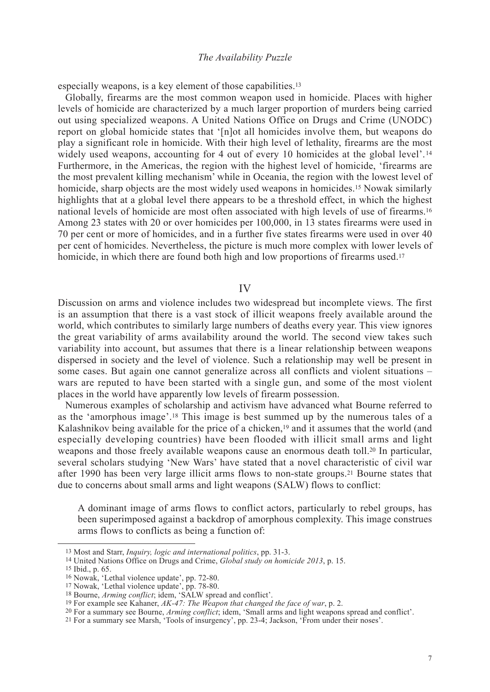especially weapons, is a key element of those capabilities.13

Globally, firearms are the most common weapon used in homicide. Places with higher levels of homicide are characterized by a much larger proportion of murders being carried out using specialized weapons. A United Nations Office on Drugs and Crime (UNODC) report on global homicide states that '[n]ot all homicides involve them, but weapons do play a significant role in homicide. With their high level of lethality, firearms are the most widely used weapons, accounting for 4 out of every 10 homicides at the global level'.<sup>14</sup> Furthermore, in the Americas, the region with the highest level of homicide, 'firearms are the most prevalent killing mechanism' while in Oceania, the region with the lowest level of homicide, sharp objects are the most widely used weapons in homicides.<sup>15</sup> Nowak similarly highlights that at a global level there appears to be a threshold effect, in which the highest national levels of homicide are most often associated with high levels of use of firearms.16 Among 23 states with 20 or over homicides per 100,000, in 13 states firearms were used in 70 per cent or more of homicides, and in a further five states firearms were used in over 40 per cent of homicides. Nevertheless, the picture is much more complex with lower levels of homicide, in which there are found both high and low proportions of firearms used.<sup>17</sup>

IV

Discussion on arms and violence includes two widespread but incomplete views. The first is an assumption that there is a vast stock of illicit weapons freely available around the world, which contributes to similarly large numbers of deaths every year. This view ignores the great variability of arms availability around the world. The second view takes such variability into account, but assumes that there is a linear relationship between weapons dispersed in society and the level of violence. Such a relationship may well be present in some cases. But again one cannot generalize across all conflicts and violent situations – wars are reputed to have been started with a single gun, and some of the most violent places in the world have apparently low levels of firearm possession.

Numerous examples of scholarship and activism have advanced what Bourne referred to as the 'amorphous image'.18 This image is best summed up by the numerous tales of a Kalashnikov being available for the price of a chicken,<sup>19</sup> and it assumes that the world (and especially developing countries) have been flooded with illicit small arms and light weapons and those freely available weapons cause an enormous death toll.<sup>20</sup> In particular, several scholars studying 'New Wars' have stated that a novel characteristic of civil war after 1990 has been very large illicit arms flows to non-state groups.21 Bourne states that due to concerns about small arms and light weapons (SALW) flows to conflict:

A dominant image of arms flows to conflict actors, particularly to rebel groups, has been superimposed against a backdrop of amorphous complexity. This image construes arms flows to conflicts as being a function of:

<sup>13</sup> Most and Starr, *Inquiry, logic and international politics*, pp. 31-3.

<sup>14</sup> United Nations Office on Drugs and Crime, *Global study on homicide 2013*, p. 15.

<sup>15</sup> Ibid., p. 65.

<sup>16</sup> Nowak, 'Lethal violence update', pp. 72-80.

<sup>17</sup> Nowak, 'Lethal violence update', pp. 78-80.

<sup>18</sup> Bourne, *Arming conflict*; idem, 'SALW spread and conflict'.

<sup>19</sup> For example see Kahaner, *AK-47: The Weapon that changed the face of war*, p. 2.

<sup>20</sup> For a summary see Bourne, *Arming conflict*; idem, 'Small arms and light weapons spread and conflict'.

<sup>21</sup> For a summary see Marsh, 'Tools of insurgency', pp. 23-4; Jackson, 'From under their noses'.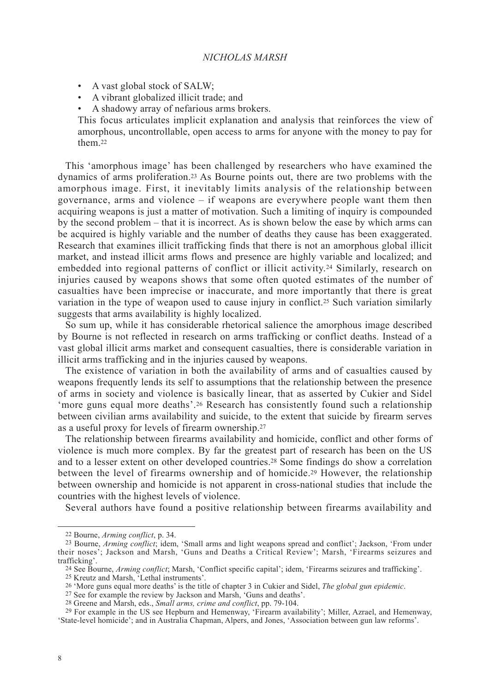- A vast global stock of SALW;
- A vibrant globalized illicit trade; and
- A shadowy array of nefarious arms brokers.

This focus articulates implicit explanation and analysis that reinforces the view of amorphous, uncontrollable, open access to arms for anyone with the money to pay for them<sup>22</sup>

This 'amorphous image' has been challenged by researchers who have examined the dynamics of arms proliferation.23 As Bourne points out, there are two problems with the amorphous image. First, it inevitably limits analysis of the relationship between governance, arms and violence – if weapons are everywhere people want them then acquiring weapons is just a matter of motivation. Such a limiting of inquiry is compounded by the second problem – that it is incorrect. As is shown below the ease by which arms can be acquired is highly variable and the number of deaths they cause has been exaggerated. Research that examines illicit trafficking finds that there is not an amorphous global illicit market, and instead illicit arms flows and presence are highly variable and localized; and embedded into regional patterns of conflict or illicit activity.24 Similarly, research on injuries caused by weapons shows that some often quoted estimates of the number of casualties have been imprecise or inaccurate, and more importantly that there is great variation in the type of weapon used to cause injury in conflict.25 Such variation similarly suggests that arms availability is highly localized.

So sum up, while it has considerable rhetorical salience the amorphous image described by Bourne is not reflected in research on arms trafficking or conflict deaths. Instead of a vast global illicit arms market and consequent casualties, there is considerable variation in illicit arms trafficking and in the injuries caused by weapons.

The existence of variation in both the availability of arms and of casualties caused by weapons frequently lends its self to assumptions that the relationship between the presence of arms in society and violence is basically linear, that as asserted by Cukier and Sidel 'more guns equal more deaths'.26 Research has consistently found such a relationship between civilian arms availability and suicide, to the extent that suicide by firearm serves as a useful proxy for levels of firearm ownership.27

The relationship between firearms availability and homicide, conflict and other forms of violence is much more complex. By far the greatest part of research has been on the US and to a lesser extent on other developed countries.28 Some findings do show a correlation between the level of firearms ownership and of homicide.29 However, the relationship between ownership and homicide is not apparent in cross-national studies that include the countries with the highest levels of violence.

Several authors have found a positive relationship between firearms availability and

<sup>22</sup> Bourne, *Arming conflict*, p. 34.

<sup>23</sup> Bourne, *Arming conflict*; idem, 'Small arms and light weapons spread and conflict'; Jackson, 'From under their noses'; Jackson and Marsh, 'Guns and Deaths a Critical Review'; Marsh, 'Firearms seizures and

trafficking'. 24 See Bourne, *Arming conflict*; Marsh, 'Conflict specific capital'; idem, 'Firearms seizures and trafficking'.

<sup>25</sup> Kreutz and Marsh, 'Lethal instruments'.

<sup>26 &#</sup>x27;More guns equal more deaths' is the title of chapter 3 in Cukier and Sidel, *The global gun epidemic*. 27 See for example the review by Jackson and Marsh, 'Guns and deaths'.

<sup>28</sup> Greene and Marsh, eds., *Small arms, crime and conflict*, pp. 79-104.

<sup>29</sup> For example in the US see Hepburn and Hemenway, 'Firearm availability'; Miller, Azrael, and Hemenway, 'State-level homicide'; and in Australia Chapman, Alpers, and Jones, 'Association between gun law reforms'.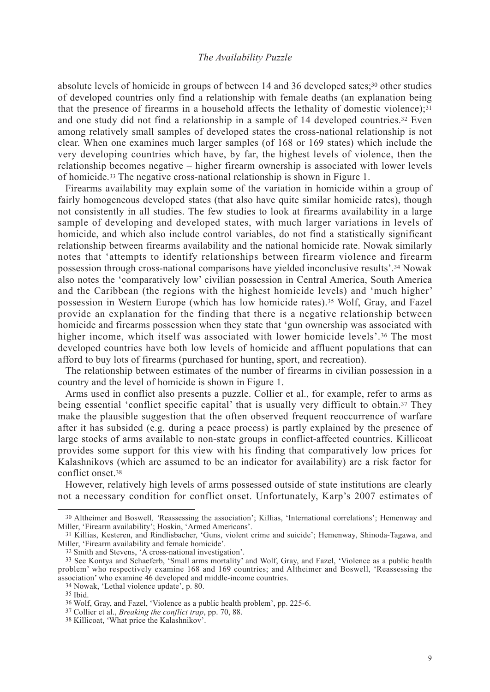absolute levels of homicide in groups of between 14 and 36 developed sates;30 other studies of developed countries only find a relationship with female deaths (an explanation being that the presence of firearms in a household affects the lethality of domestic violence); $31$ and one study did not find a relationship in a sample of 14 developed countries.32 Even among relatively small samples of developed states the cross-national relationship is not clear. When one examines much larger samples (of 168 or 169 states) which include the very developing countries which have, by far, the highest levels of violence, then the relationship becomes negative – higher firearm ownership is associated with lower levels of homicide.33 The negative cross-national relationship is shown in Figure 1.

Firearms availability may explain some of the variation in homicide within a group of fairly homogeneous developed states (that also have quite similar homicide rates), though not consistently in all studies. The few studies to look at firearms availability in a large sample of developing and developed states, with much larger variations in levels of homicide, and which also include control variables, do not find a statistically significant relationship between firearms availability and the national homicide rate. Nowak similarly notes that 'attempts to identify relationships between firearm violence and firearm possession through cross-national comparisons have yielded inconclusive results'.34 Nowak also notes the 'comparatively low' civilian possession in Central America, South America and the Caribbean (the regions with the highest homicide levels) and 'much higher' possession in Western Europe (which has low homicide rates).35 Wolf, Gray, and Fazel provide an explanation for the finding that there is a negative relationship between homicide and firearms possession when they state that 'gun ownership was associated with higher income, which itself was associated with lower homicide levels'.<sup>36</sup> The most developed countries have both low levels of homicide and affluent populations that can afford to buy lots of firearms (purchased for hunting, sport, and recreation).

The relationship between estimates of the number of firearms in civilian possession in a country and the level of homicide is shown in Figure 1.

Arms used in conflict also presents a puzzle. Collier et al., for example, refer to arms as being essential 'conflict specific capital' that is usually very difficult to obtain.37 They make the plausible suggestion that the often observed frequent reoccurrence of warfare after it has subsided (e.g. during a peace process) is partly explained by the presence of large stocks of arms available to non-state groups in conflict-affected countries. Killicoat provides some support for this view with his finding that comparatively low prices for Kalashnikovs (which are assumed to be an indicator for availability) are a risk factor for conflict onset.38

However, relatively high levels of arms possessed outside of state institutions are clearly not a necessary condition for conflict onset. Unfortunately, Karp's 2007 estimates of

<sup>30</sup> Altheimer and Boswell*, '*Reassessing the association'; Killias, 'International correlations'; Hemenway and Miller, 'Firearm availability'; Hoskin, 'Armed Americans'.

<sup>31</sup> Killias, Kesteren, and Rindlisbacher, 'Guns, violent crime and suicide'; Hemenway, Shinoda-Tagawa, and Miller, 'Firearm availability and female homicide'.

<sup>32</sup> Smith and Stevens, 'A cross-national investigation'.

<sup>33</sup> See Kontya and Schaeferb, 'Small arms mortality' and Wolf, Gray, and Fazel, 'Violence as a public health problem' who respectively examine 168 and 169 countries; and Altheimer and Boswell, 'Reassessing the association' who examine 46 developed and middle-income countries. 34 Nowak, 'Lethal violence update', p. 80.

<sup>35</sup> Ibid.

<sup>36</sup> Wolf, Gray, and Fazel, 'Violence as a public health problem', pp. 225-6.

<sup>37</sup> Collier et al., *Breaking the conflict trap*, pp. 70, 88.

<sup>38</sup> Killicoat, 'What price the Kalashnikov'.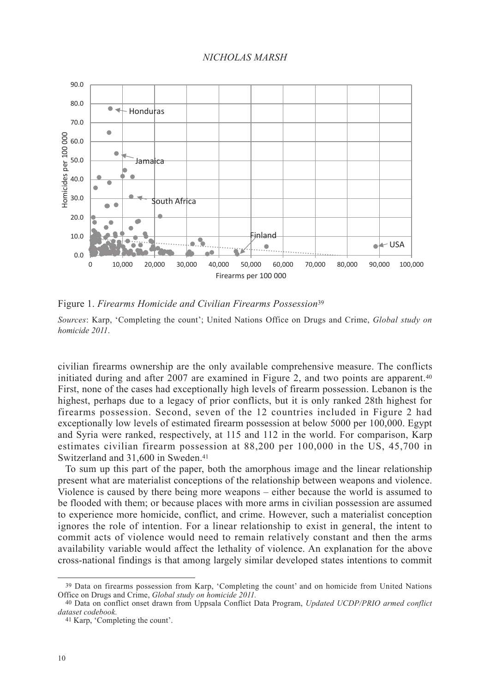

Figure 1. *Firearms Homicide and Civilian Firearms Possession*<sup>39</sup>

25,000 *Sources*: Karp, 'Completing the count'; United Nations Office on Drugs and Crime, *Global study on homicide 2011*.

civilian firearms ownership are the only available comprehensive measure. The conflicts initiated during and after 2007 are examined in Figure 2, and two points are apparent.40 First, none of the cases had exceptionally high levels of firearm possession. Lebanon is the highest, perhaps due to a legacy of prior conflicts, but it is only ranked 28th highest for firearms possession. Second, seven of the 12 countries included in Figure 2 had exceptionally low levels of estimated firearm possession at below 5000 per 100,000. Egypt and Syria were ranked, respectively, at 115 and 112 in the world. For comparison, Karp estimates civilian firearm possession at 88,200 per 100,000 in the US, 45,700 in Switzerland and 31,600 in Sweden.41 li<br>ia<br>it,<br>a

To sum up this part of the paper, both the amorphous image and the linear relationship present what are materialist conceptions of the relationship between weapons and violence. Violence is caused by there being more weapons – either because the world is assumed to be flooded with them; or because places with more arms in civilian possession are assumed to experience more homicide, conflict, and crime. However, such a materialist conception ignores the role of intention. For a linear relationship to exist in general, the intent to  $\frac{1}{2}$ Lawful fore of children. For a filled to remain relatively constant in general, the linear to<br>commit acts of violence would need to remain relatively constant and then the arms availability variable would affect the lethality of violence. An explanation for the above availability variable would affect the lethality of violence. An explanation for the above cross-national findings is that among largely similar developed states intentions to commit relatively constant and stocks

Group

<sup>&</sup>lt;sup>39</sup> Data on firearms possession from Karp, 'Completing the count' and on homicide from United Nations Office on Drugs and Crime, *Global study* and *study* and *arms* in *a* 

<sup>40</sup> Data on conflict onset drawn from Uppsala Conflict Data Program, *Updated UCDP/PRIO armed conflict dataset codebook.*

<sup>41</sup> Karp, 'Completing the count'.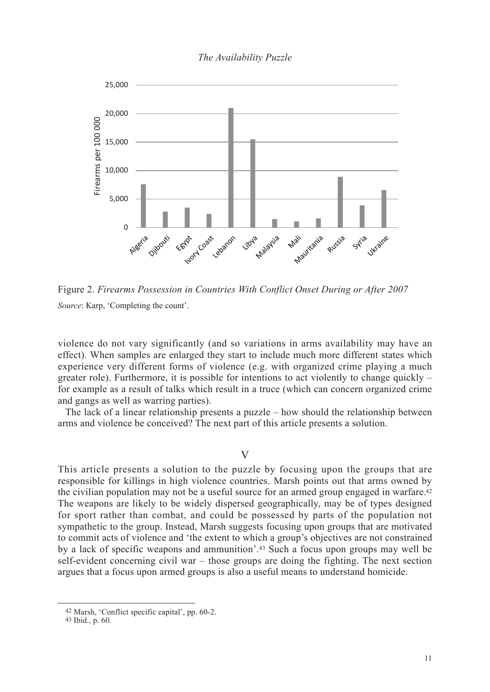# *NICHOLAS MARSH The Availability Puzzle*



Figure 2. *Firearms Possession in Countries With Conflict Onset During or After 2007 Source*: Karp, 'Completing the count'.

| Lawful | Civilian | <b>Illicit</b> | Theft from | Donation |
|--------|----------|----------------|------------|----------|
|--------|----------|----------------|------------|----------|

violence do not vary significantly (and so variations in arms availability may have an effect). When samples are enlarged they start to include much more different states which experience very different forms of violege of e.g. with organized crime playing a much greater role). Furthermore, it is possible for intentions to act violently to change quickly – for example as a result of talks which result in a truce (which can concern organized crime and gangs as well as warring parties). arms

The lack of a linear relationship presents a puzzle – how should the relationship between arms and violence be conceived? The next part of this article presents a solution.

 $\overline{\mathsf{V}}$ 

This article presents a solution to the puzzle by focusing upon the groups that are responsible for killings in high violence countries. Marsh points out that arms owned by the civilian population may not be a useful source for an armed group engaged in warfare.42 The weapons are likely to be widely dispersed geographically, may be of types designed for sport rather than combat, and could be possessed by parts of the population not sympathetic to the group. Instead, Marsh suggests focusing upon groups that are motivated to commit acts of violence and 'the extent to which a group's objectives are not constrained by a lack of specific weapons and ammunition'.43 Such a focus upon groups may well be self-evident concerning civil war – those groups are doing the fighting. The next section argues that a focus upon armed groups is also a useful means to understand homicide.

<sup>42</sup> Marsh, 'Conflict specific capital', pp. 60-2.

<sup>43</sup> Ibid., p. 60.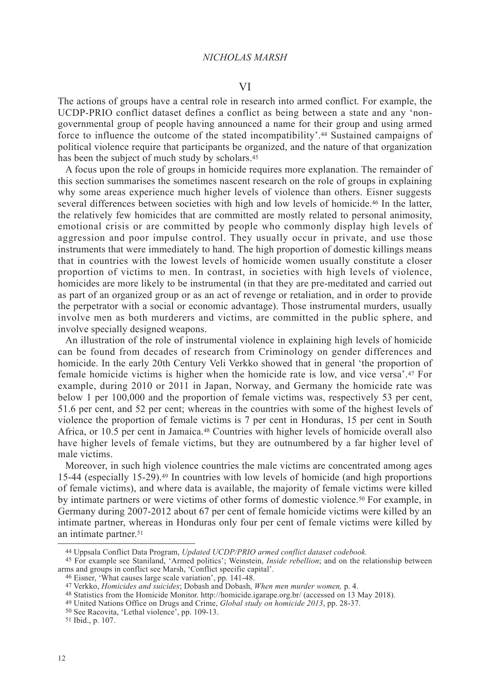The actions of groups have a central role in research into armed conflict. For example, the UCDP-PRIO conflict dataset defines a conflict as being between a state and any 'nongovernmental group of people having announced a name for their group and using armed force to influence the outcome of the stated incompatibility'.44 Sustained campaigns of political violence require that participants be organized, and the nature of that organization has been the subject of much study by scholars.45

A focus upon the role of groups in homicide requires more explanation. The remainder of this section summarises the sometimes nascent research on the role of groups in explaining why some areas experience much higher levels of violence than others. Eisner suggests several differences between societies with high and low levels of homicide.46 In the latter, the relatively few homicides that are committed are mostly related to personal animosity, emotional crisis or are committed by people who commonly display high levels of aggression and poor impulse control. They usually occur in private, and use those instruments that were immediately to hand. The high proportion of domestic killings means that in countries with the lowest levels of homicide women usually constitute a closer proportion of victims to men. In contrast, in societies with high levels of violence, homicides are more likely to be instrumental (in that they are pre-meditated and carried out as part of an organized group or as an act of revenge or retaliation, and in order to provide the perpetrator with a social or economic advantage). Those instrumental murders, usually involve men as both murderers and victims, are committed in the public sphere, and involve specially designed weapons.

An illustration of the role of instrumental violence in explaining high levels of homicide can be found from decades of research from Criminology on gender differences and homicide. In the early 20th Century Veli Verkko showed that in general 'the proportion of female homicide victims is higher when the homicide rate is low, and vice versa'.47 For example, during 2010 or 2011 in Japan, Norway, and Germany the homicide rate was below 1 per 100,000 and the proportion of female victims was, respectively 53 per cent, 51.6 per cent, and 52 per cent; whereas in the countries with some of the highest levels of violence the proportion of female victims is 7 per cent in Honduras, 15 per cent in South Africa, or 10.5 per cent in Jamaica.48 Countries with higher levels of homicide overall also have higher levels of female victims, but they are outnumbered by a far higher level of male victims.

Moreover, in such high violence countries the male victims are concentrated among ages 15-44 (especially 15-29).49 In countries with low levels of homicide (and high proportions of female victims), and where data is available, the majority of female victims were killed by intimate partners or were victims of other forms of domestic violence.50 For example, in Germany during 2007-2012 about 67 per cent of female homicide victims were killed by an intimate partner, whereas in Honduras only four per cent of female victims were killed by an intimate partner.<sup>51</sup>

50 See Racovita, 'Lethal violence', pp. 109-13.

<sup>44</sup> Uppsala Conflict Data Program, *Updated UCDP/PRIO armed conflict dataset codebook.*

<sup>45</sup> For example see Staniland, 'Armed politics'; Weinstein, *Inside rebellion*; and on the relationship between arms and groups in conflict see Marsh, 'Conflict specific capital'.

<sup>46</sup> Eisner, 'What causes large scale variation', pp. 141-48.

<sup>47</sup> Verkko, *Homicides and suicides*; Dobash and Dobash, *When men murder women,* p. 4.

<sup>48</sup> Statistics from the Homicide Monitor. http://homicide.igarape.org.br/ (accessed on 13 May 2018).

<sup>49</sup> United Nations Office on Drugs and Crime, *Global study on homicide 2013*, pp. 28-37.

<sup>51</sup> Ibid., p. 107.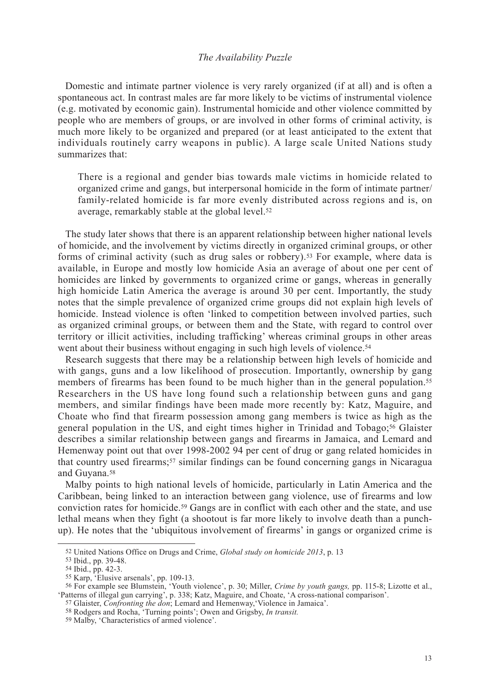Domestic and intimate partner violence is very rarely organized (if at all) and is often a spontaneous act. In contrast males are far more likely to be victims of instrumental violence (e.g. motivated by economic gain). Instrumental homicide and other violence committed by people who are members of groups, or are involved in other forms of criminal activity, is much more likely to be organized and prepared (or at least anticipated to the extent that individuals routinely carry weapons in public). A large scale United Nations study summarizes that:

There is a regional and gender bias towards male victims in homicide related to organized crime and gangs, but interpersonal homicide in the form of intimate partner/ family-related homicide is far more evenly distributed across regions and is, on average, remarkably stable at the global level.52

The study later shows that there is an apparent relationship between higher national levels of homicide, and the involvement by victims directly in organized criminal groups, or other forms of criminal activity (such as drug sales or robbery).53 For example, where data is available, in Europe and mostly low homicide Asia an average of about one per cent of homicides are linked by governments to organized crime or gangs, whereas in generally high homicide Latin America the average is around 30 per cent. Importantly, the study notes that the simple prevalence of organized crime groups did not explain high levels of homicide. Instead violence is often 'linked to competition between involved parties, such as organized criminal groups, or between them and the State, with regard to control over territory or illicit activities, including trafficking' whereas criminal groups in other areas went about their business without engaging in such high levels of violence.<sup>54</sup>

Research suggests that there may be a relationship between high levels of homicide and with gangs, guns and a low likelihood of prosecution. Importantly, ownership by gang members of firearms has been found to be much higher than in the general population.55 Researchers in the US have long found such a relationship between guns and gang members, and similar findings have been made more recently by: Katz, Maguire, and Choate who find that firearm possession among gang members is twice as high as the general population in the US, and eight times higher in Trinidad and Tobago;56 Glaister describes a similar relationship between gangs and firearms in Jamaica, and Lemard and Hemenway point out that over 1998-2002 94 per cent of drug or gang related homicides in that country used firearms;57 similar findings can be found concerning gangs in Nicaragua and Guyana.58

Malby points to high national levels of homicide, particularly in Latin America and the Caribbean, being linked to an interaction between gang violence, use of firearms and low conviction rates for homicide.59 Gangs are in conflict with each other and the state, and use lethal means when they fight (a shootout is far more likely to involve death than a punchup). He notes that the 'ubiquitous involvement of firearms' in gangs or organized crime is

<sup>52</sup> United Nations Office on Drugs and Crime, *Global study on homicide 2013*, p. 13

<sup>53</sup> Ibid., pp. 39-48.

<sup>54</sup> Ibid., pp. 42-3.

<sup>55</sup> Karp, 'Elusive arsenals', pp. 109-13.

<sup>56</sup> For example see Blumstein, 'Youth violence', p. 30; Miller, *Crime by youth gangs,* pp. 115-8; Lizotte et al., 'Patterns of illegal gun carrying', p. 338; Katz, Maguire, and Choate, 'A cross-national comparison'.

<sup>57</sup> Glaister, *Confronting the don*; Lemard and Hemenway,'Violence in Jamaica'.

<sup>58</sup> Rodgers and Rocha, 'Turning points'; Owen and Grigsby, *In transit.*

<sup>59</sup> Malby, 'Characteristics of armed violence'.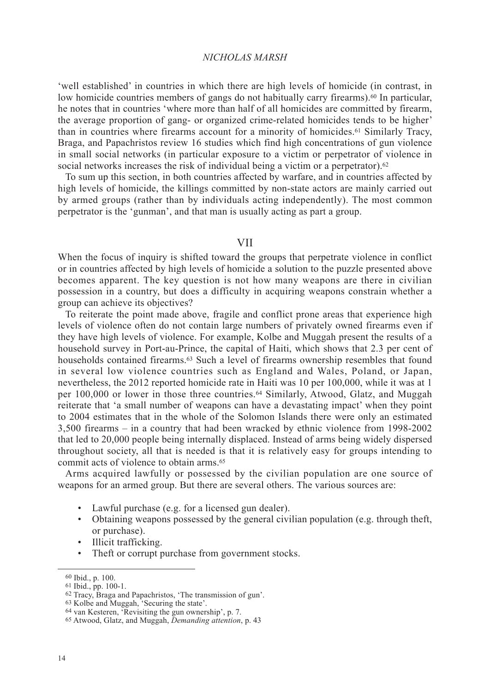'well established' in countries in which there are high levels of homicide (in contrast, in low homicide countries members of gangs do not habitually carry firearms).<sup>60</sup> In particular, he notes that in countries 'where more than half of all homicides are committed by firearm, the average proportion of gang- or organized crime-related homicides tends to be higher' than in countries where firearms account for a minority of homicides.61 Similarly Tracy, Braga, and Papachristos review 16 studies which find high concentrations of gun violence in small social networks (in particular exposure to a victim or perpetrator of violence in social networks increases the risk of individual being a victim or a perpetrator).<sup>62</sup>

To sum up this section, in both countries affected by warfare, and in countries affected by high levels of homicide, the killings committed by non-state actors are mainly carried out by armed groups (rather than by individuals acting independently). The most common perpetrator is the 'gunman', and that man is usually acting as part a group.

#### VII

When the focus of inquiry is shifted toward the groups that perpetrate violence in conflict or in countries affected by high levels of homicide a solution to the puzzle presented above becomes apparent. The key question is not how many weapons are there in civilian possession in a country, but does a difficulty in acquiring weapons constrain whether a group can achieve its objectives?

To reiterate the point made above, fragile and conflict prone areas that experience high levels of violence often do not contain large numbers of privately owned firearms even if they have high levels of violence. For example, Kolbe and Muggah present the results of a household survey in Port-au-Prince, the capital of Haiti, which shows that 2.3 per cent of households contained firearms.<sup>63</sup> Such a level of firearms ownership resembles that found in several low violence countries such as England and Wales, Poland, or Japan, nevertheless, the 2012 reported homicide rate in Haiti was 10 per 100,000, while it was at 1 per 100,000 or lower in those three countries.64 Similarly, Atwood, Glatz, and Muggah reiterate that 'a small number of weapons can have a devastating impact' when they point to 2004 estimates that in the whole of the Solomon Islands there were only an estimated 3,500 firearms – in a country that had been wracked by ethnic violence from 1998-2002 that led to 20,000 people being internally displaced. Instead of arms being widely dispersed throughout society, all that is needed is that it is relatively easy for groups intending to commit acts of violence to obtain arms.65

Arms acquired lawfully or possessed by the civilian population are one source of weapons for an armed group. But there are several others. The various sources are:

- Lawful purchase (e.g. for a licensed gun dealer).
- Obtaining weapons possessed by the general civilian population (e.g. through theft, or purchase).
- Illicit trafficking.
- Theft or corrupt purchase from government stocks.

<sup>60</sup> Ibid., p. 100.

<sup>61</sup> Ibid., pp. 100-1.

 $62$  Tracy, Braga and Papachristos, 'The transmission of gun'.

<sup>63</sup> Kolbe and Muggah, 'Securing the state'.

<sup>64</sup> van Kesteren, 'Revisiting the gun ownership', p. 7.

<sup>65</sup> Atwood, Glatz, and Muggah, *Demanding attention*, p. 43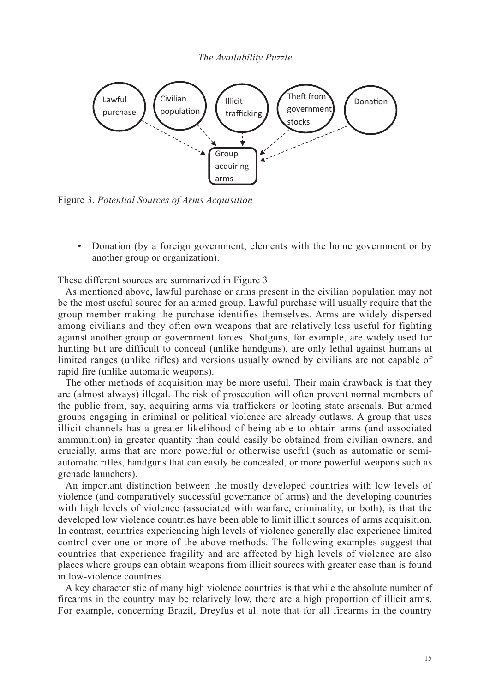

Figure 3. *Potential Sources of Arms Acquisition*

• Donation (by a foreign government, elements with the home government or by another group or organization).

These different sources are summarized in Figure 3.

As mentioned above, lawful purchase or arms present in the civilian population may not be the most useful source for an armed group. Lawful purchase will usually require that the group member making the purchase identifies themselves. Arms are widely dispersed among civilians and they often own weapons that are relatively less useful for fighting against another group or government forces. Shotguns, for example, are widely used for hunting but are difficult to conceal (unlike handguns), are only lethal against humans at limited ranges (unlike rifles) and versions usually owned by civilians are not capable of rapid fire (unlike automatic weapons).

The other methods of acquisition may be more useful. Their main drawback is that they are (almost always) illegal. The risk of prosecution will often prevent normal members of the public from, say, acquiring arms via traffickers or looting state arsenals. But armed groups engaging in criminal or political violence are already outlaws. A group that uses illicit channels has a greater likelihood of being able to obtain arms (and associated ammunition) in greater quantity than could easily be obtained from civilian owners, and crucially, arms that are more powerful or otherwise useful (such as automatic or semiautomatic rifles, handguns that can easily be concealed, or more powerful weapons such as grenade launchers).

An important distinction between the mostly developed countries with low levels of violence (and comparatively successful governance of arms) and the developing countries with high levels of violence (associated with warfare, criminality, or both), is that the developed low violence countries have been able to limit illicit sources of arms acquisition. In contrast, countries experiencing high levels of violence generally also experience limited control over one or more of the above methods. The following examples suggest that countries that experience fragility and are affected by high levels of violence are also places where groups can obtain weapons from illicit sources with greater ease than is found in low-violence countries.

A key characteristic of many high violence countries is that while the absolute number of firearms in the country may be relatively low, there are a high proportion of illicit arms. For example, concerning Brazil, Dreyfus et al. note that for all firearms in the country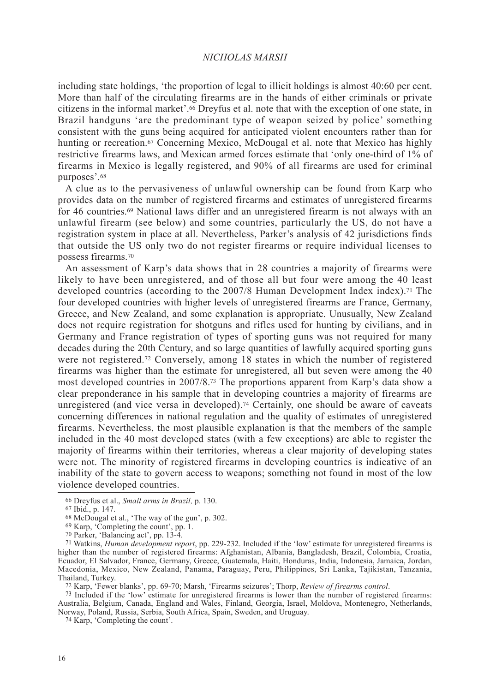including state holdings, 'the proportion of legal to illicit holdings is almost 40:60 per cent. More than half of the circulating firearms are in the hands of either criminals or private citizens in the informal market'.66 Dreyfus et al. note that with the exception of one state, in Brazil handguns 'are the predominant type of weapon seized by police' something consistent with the guns being acquired for anticipated violent encounters rather than for hunting or recreation.<sup>67</sup> Concerning Mexico, McDougal et al. note that Mexico has highly restrictive firearms laws, and Mexican armed forces estimate that 'only one-third of 1% of firearms in Mexico is legally registered, and 90% of all firearms are used for criminal purposes'.68

A clue as to the pervasiveness of unlawful ownership can be found from Karp who provides data on the number of registered firearms and estimates of unregistered firearms for 46 countries.69 National laws differ and an unregistered firearm is not always with an unlawful firearm (see below) and some countries, particularly the US, do not have a registration system in place at all. Nevertheless, Parker's analysis of 42 jurisdictions finds that outside the US only two do not register firearms or require individual licenses to possess firearms.70

An assessment of Karp's data shows that in 28 countries a majority of firearms were likely to have been unregistered, and of those all but four were among the 40 least developed countries (according to the 2007/8 Human Development Index index).71 The four developed countries with higher levels of unregistered firearms are France, Germany, Greece, and New Zealand, and some explanation is appropriate. Unusually, New Zealand does not require registration for shotguns and rifles used for hunting by civilians, and in Germany and France registration of types of sporting guns was not required for many decades during the 20th Century, and so large quantities of lawfully acquired sporting guns were not registered.72 Conversely, among 18 states in which the number of registered firearms was higher than the estimate for unregistered, all but seven were among the 40 most developed countries in 2007/8.73 The proportions apparent from Karp's data show a clear preponderance in his sample that in developing countries a majority of firearms are unregistered (and vice versa in developed).74 Certainly, one should be aware of caveats concerning differences in national regulation and the quality of estimates of unregistered firearms. Nevertheless, the most plausible explanation is that the members of the sample included in the 40 most developed states (with a few exceptions) are able to register the majority of firearms within their territories, whereas a clear majority of developing states were not. The minority of registered firearms in developing countries is indicative of an inability of the state to govern access to weapons; something not found in most of the low violence developed countries.

73 Included if the 'low' estimate for unregistered firearms is lower than the number of registered firearms: Australia, Belgium, Canada, England and Wales, Finland, Georgia, Israel, Moldova, Montenegro, Netherlands, Norway, Poland, Russia, Serbia, South Africa, Spain, Sweden, and Uruguay. 74 Karp, 'Completing the count'.

<sup>66</sup> Dreyfus et al., *Small arms in Brazil,* p. 130.

<sup>67</sup> Ibid., p. 147.

<sup>68</sup> McDougal et al., 'The way of the gun', p. 302.

<sup>69</sup> Karp, 'Completing the count', pp. 1.

<sup>70</sup> Parker, 'Balancing act', pp. 13-4.

<sup>71</sup> Watkins, *Human development report*, pp. 229-232. Included if the 'low' estimate for unregistered firearms is higher than the number of registered firearms: Afghanistan, Albania, Bangladesh, Brazil, Colombia, Croatia, Ecuador, El Salvador, France, Germany, Greece, Guatemala, Haiti, Honduras, India, Indonesia, Jamaica, Jordan, Macedonia, Mexico, New Zealand, Panama, Paraguay, Peru, Philippines, Sri Lanka, Tajikistan, Tanzania, Thailand, Turkey. 72 Karp, 'Fewer blanks', pp. 69-70; Marsh, 'Firearms seizures'; Thorp, *Review of firearms control*.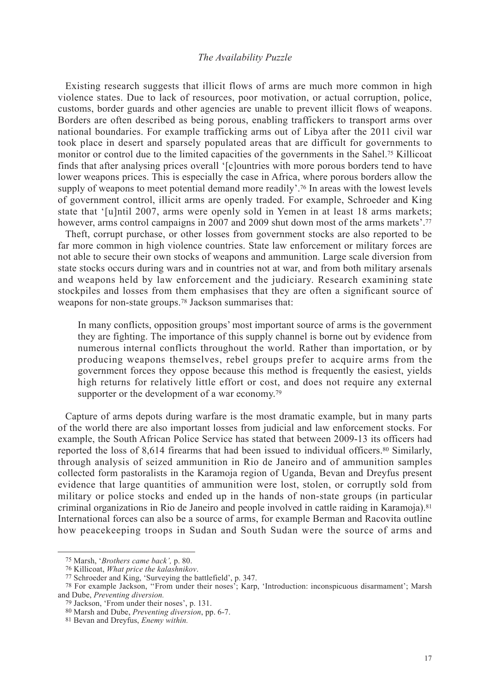Existing research suggests that illicit flows of arms are much more common in high violence states. Due to lack of resources, poor motivation, or actual corruption, police, customs, border guards and other agencies are unable to prevent illicit flows of weapons. Borders are often described as being porous, enabling traffickers to transport arms over national boundaries. For example trafficking arms out of Libya after the 2011 civil war took place in desert and sparsely populated areas that are difficult for governments to monitor or control due to the limited capacities of the governments in the Sahel.75 Killicoat finds that after analysing prices overall '[c]ountries with more porous borders tend to have lower weapons prices. This is especially the case in Africa, where porous borders allow the supply of weapons to meet potential demand more readily'.76 In areas with the lowest levels of government control, illicit arms are openly traded. For example, Schroeder and King state that '[u]ntil 2007, arms were openly sold in Yemen in at least 18 arms markets; however, arms control campaigns in 2007 and 2009 shut down most of the arms markets'.<sup>77</sup>

Theft, corrupt purchase, or other losses from government stocks are also reported to be far more common in high violence countries. State law enforcement or military forces are not able to secure their own stocks of weapons and ammunition. Large scale diversion from state stocks occurs during wars and in countries not at war, and from both military arsenals and weapons held by law enforcement and the judiciary. Research examining state stockpiles and losses from them emphasises that they are often a significant source of weapons for non-state groups.78 Jackson summarises that:

In many conflicts, opposition groups' most important source of arms is the government they are fighting. The importance of this supply channel is borne out by evidence from numerous internal conflicts throughout the world. Rather than importation, or by producing weapons themselves, rebel groups prefer to acquire arms from the government forces they oppose because this method is frequently the easiest, yields high returns for relatively little effort or cost, and does not require any external supporter or the development of a war economy.<sup>79</sup>

Capture of arms depots during warfare is the most dramatic example, but in many parts of the world there are also important losses from judicial and law enforcement stocks. For example, the South African Police Service has stated that between 2009-13 its officers had reported the loss of 8,614 firearms that had been issued to individual officers.80 Similarly, through analysis of seized ammunition in Rio de Janeiro and of ammunition samples collected form pastoralists in the Karamoja region of Uganda, Bevan and Dreyfus present evidence that large quantities of ammunition were lost, stolen, or corruptly sold from military or police stocks and ended up in the hands of non-state groups (in particular criminal organizations in Rio de Janeiro and people involved in cattle raiding in Karamoja).81 International forces can also be a source of arms, for example Berman and Racovita outline how peacekeeping troops in Sudan and South Sudan were the source of arms and

<sup>75</sup> Marsh, '*Brothers came back',* p. 80.

<sup>76</sup> Killicoat, *What price the kalashnikov*.

<sup>77</sup> Schroeder and King, 'Surveying the battlefield', p. 347.

<sup>78</sup> For example Jackson, ''From under their noses'; Karp, 'Introduction: inconspicuous disarmament'; Marsh and Dube, *Preventing diversion.*

<sup>79</sup> Jackson, 'From under their noses', p. 131.

<sup>80</sup> Marsh and Dube, *Preventing diversion*, pp. 6-7.

<sup>81</sup> Bevan and Dreyfus, *Enemy within.*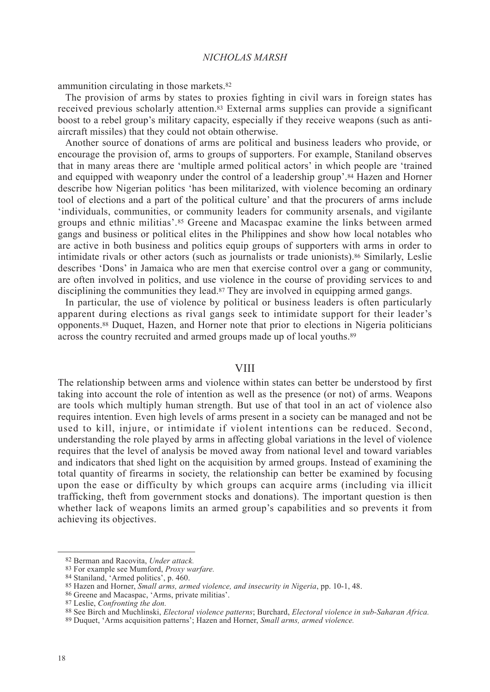ammunition circulating in those markets.82

The provision of arms by states to proxies fighting in civil wars in foreign states has received previous scholarly attention.83 External arms supplies can provide a significant boost to a rebel group's military capacity, especially if they receive weapons (such as antiaircraft missiles) that they could not obtain otherwise.

Another source of donations of arms are political and business leaders who provide, or encourage the provision of, arms to groups of supporters. For example, Staniland observes that in many areas there are 'multiple armed political actors' in which people are 'trained and equipped with weaponry under the control of a leadership group'.84 Hazen and Horner describe how Nigerian politics 'has been militarized, with violence becoming an ordinary tool of elections and a part of the political culture' and that the procurers of arms include 'individuals, communities, or community leaders for community arsenals, and vigilante groups and ethnic militias'.85 Greene and Macaspac examine the links between armed gangs and business or political elites in the Philippines and show how local notables who are active in both business and politics equip groups of supporters with arms in order to intimidate rivals or other actors (such as journalists or trade unionists).86 Similarly, Leslie describes 'Dons' in Jamaica who are men that exercise control over a gang or community, are often involved in politics, and use violence in the course of providing services to and disciplining the communities they lead.87 They are involved in equipping armed gangs.

In particular, the use of violence by political or business leaders is often particularly apparent during elections as rival gangs seek to intimidate support for their leader's opponents.88 Duquet, Hazen, and Horner note that prior to elections in Nigeria politicians across the country recruited and armed groups made up of local youths.89

#### VIII

The relationship between arms and violence within states can better be understood by first taking into account the role of intention as well as the presence (or not) of arms. Weapons are tools which multiply human strength. But use of that tool in an act of violence also requires intention. Even high levels of arms present in a society can be managed and not be used to kill, injure, or intimidate if violent intentions can be reduced. Second, understanding the role played by arms in affecting global variations in the level of violence requires that the level of analysis be moved away from national level and toward variables and indicators that shed light on the acquisition by armed groups. Instead of examining the total quantity of firearms in society, the relationship can better be examined by focusing upon the ease or difficulty by which groups can acquire arms (including via illicit trafficking, theft from government stocks and donations). The important question is then whether lack of weapons limits an armed group's capabilities and so prevents it from achieving its objectives.

<sup>82</sup> Berman and Racovita, *Under attack.*

<sup>83</sup> For example see Mumford, *Proxy warfare.*

<sup>84</sup> Staniland, 'Armed politics', p. 460.

<sup>85</sup> Hazen and Horner, *Small arms, armed violence, and insecurity in Nigeria*, pp. 10-1, 48.

<sup>86</sup> Greene and Macaspac, 'Arms, private militias'.

<sup>87</sup> Leslie, *Confronting the don.*

<sup>88</sup> See Birch and Muchlinski, *Electoral violence patterns*; Burchard, *Electoral violence in sub-Saharan Africa.*

<sup>89</sup> Duquet, 'Arms acquisition patterns'; Hazen and Horner, *Small arms, armed violence.*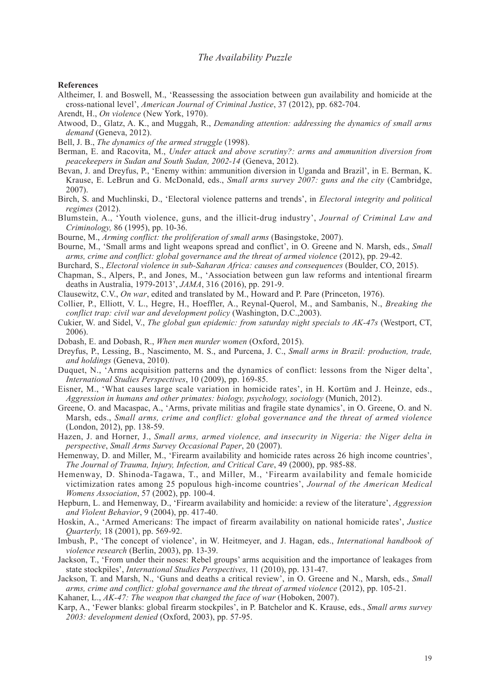#### **References**

- Altheimer, I. and Boswell, M., 'Reassessing the association between gun availability and homicide at the cross-national level', *American Journal of Criminal Justice*, 37 (2012), pp. 682-704.
- Arendt, H., *On violence* (New York, 1970).
- Atwood, D., Glatz, A. K., and Muggah, R., *Demanding attention: addressing the dynamics of small arms demand* (Geneva, 2012).
- Bell, J. B., *The dynamics of the armed struggle* (1998).
- Berman, E. and Racovita, M., *Under attack and above scrutiny?: arms and ammunition diversion from peacekeepers in Sudan and South Sudan, 2002-14* (Geneva, 2012).
- Bevan, J. and Dreyfus, P., 'Enemy within: ammunition diversion in Uganda and Brazil', in E. Berman, K. Krause, E. LeBrun and G. McDonald, eds., *Small arms survey 2007: guns and the city* (Cambridge, 2007).
- Birch, S. and Muchlinski, D., 'Electoral violence patterns and trends', in *Electoral integrity and political regimes* (2012).
- Blumstein, A., 'Youth violence, guns, and the illicit-drug industry', *Journal of Criminal Law and Criminology,* 86 (1995), pp. 10-36.
- Bourne, M., *Arming conflict: the proliferation of small arms* (Basingstoke, 2007).
- Bourne, M., 'Small arms and light weapons spread and conflict', in O. Greene and N. Marsh, eds., *Small arms, crime and conflict: global governance and the threat of armed violence* (2012), pp. 29-42.
- Burchard, S., *Electoral violence in sub-Saharan Africa: causes and consequences* (Boulder, CO, 2015).
- Chapman, S., Alpers, P., and Jones, M., 'Association between gun law reforms and intentional firearm deaths in Australia, 1979-2013', *JAMA*, 316 (2016), pp. 291-9.
- Clausewitz, C.V., *On war*, edited and translated by M., Howard and P. Pare (Princeton, 1976).
- Collier, P., Elliott, V. L., Hegre, H., Hoeffler, A., Reynal-Querol, M., and Sambanis, N., *Breaking the conflict trap: civil war and development policy* (Washington, D.C.,2003).
- Cukier, W. and Sidel, V., *The global gun epidemic: from saturday night specials to AK-47s* (Westport, CT, 2006).
- Dobash, E. and Dobash, R., *When men murder women* (Oxford, 2015).
- Dreyfus, P., Lessing, B., Nascimento, M. S., and Purcena, J. C., *Small arms in Brazil: production, trade, and holdings* (Geneva, 2010).
- Duquet, N., 'Arms acquisition patterns and the dynamics of conflict: lessons from the Niger delta', *International Studies Perspectives*, 10 (2009), pp. 169-85.
- Eisner, M., 'What causes large scale variation in homicide rates', in H. Kortüm and J. Heinze, eds., *Aggression in humans and other primates: biology, psychology, sociology* (Munich, 2012).
- Greene, O. and Macaspac, A., 'Arms, private militias and fragile state dynamics', in O. Greene, O. and N. Marsh, eds., *Small arms, crime and conflict: global governance and the threat of armed violence* (London, 2012), pp. 138-59.
- Hazen, J. and Horner, J., *Small arms, armed violence, and insecurity in Nigeria: the Niger delta in perspective*, *Small Arms Survey Occasional Paper*, 20 (2007).
- Hemenway, D. and Miller, M., 'Firearm availability and homicide rates across 26 high income countries', *The Journal of Trauma, Injury, Infection, and Critical Care*, 49 (2000), pp. 985-88.
- Hemenway, D. Shinoda-Tagawa, T., and Miller, M., 'Firearm availability and female homicide victimization rates among 25 populous high-income countries', *Journal of the American Medical Womens Association*, 57 (2002), pp. 100-4.
- Hepburn, L. and Hemenway, D., 'Firearm availability and homicide: a review of the literature', *Aggression and Violent Behavior*, 9 (2004), pp. 417-40.
- Hoskin, A., 'Armed Americans: The impact of firearm availability on national homicide rates', *Justice Quarterly,* 18 (2001), pp. 569-92.
- Imbush, P., 'The concept of violence', in W. Heitmeyer, and J. Hagan, eds., *International handbook of violence research* (Berlin, 2003), pp. 13-39.
- Jackson, T., 'From under their noses: Rebel groups' arms acquisition and the importance of leakages from state stockpiles', *International Studies Perspectives,* 11 (2010), pp. 131-47.
- Jackson, T. and Marsh, N., 'Guns and deaths a critical review', in O. Greene and N., Marsh, eds., *Small arms, crime and conflict: global governance and the threat of armed violence* (2012), pp. 105-21.

Kahaner, L., *AK-47: The weapon that changed the face of war* (Hoboken, 2007).

Karp, A., 'Fewer blanks: global firearm stockpiles', in P. Batchelor and K. Krause, eds., *Small arms survey 2003: development denied* (Oxford, 2003), pp. 57-95.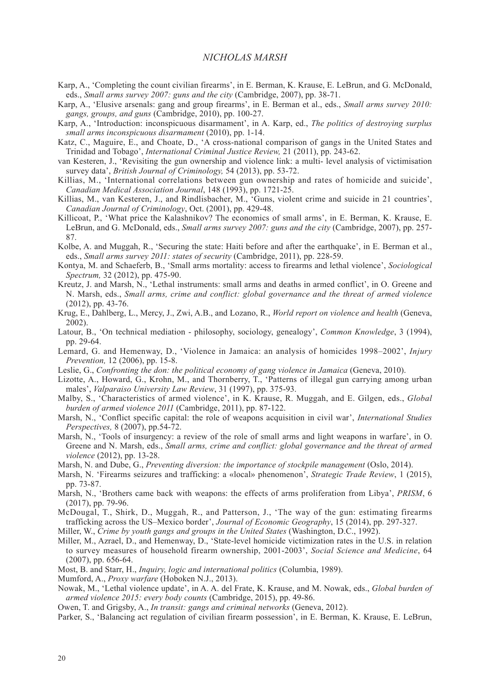- Karp, A., 'Completing the count civilian firearms', in E. Berman, K. Krause, E. LeBrun, and G. McDonald, eds., *Small arms survey 2007: guns and the city* (Cambridge, 2007), pp. 38-71.
- Karp, A., 'Elusive arsenals: gang and group firearms', in E. Berman et al., eds., *Small arms survey 2010: gangs, groups, and guns* (Cambridge, 2010), pp. 100-27.
- Karp, A., 'Introduction: inconspicuous disarmament', in A. Karp, ed., *The politics of destroying surplus small arms inconspicuous disarmament* (2010), pp. 1-14.
- Katz, C., Maguire, E., and Choate, D., 'A cross-national comparison of gangs in the United States and Trinidad and Tobago', *International Criminal Justice Review,* 21 (2011), pp. 243-62.
- van Kesteren, J., 'Revisiting the gun ownership and violence link: a multi- level analysis of victimisation survey data', *British Journal of Criminology,* 54 (2013), pp. 53-72.
- Killias, M., 'International correlations between gun ownership and rates of homicide and suicide', *Canadian Medical Association Journal*, 148 (1993), pp. 1721-25.
- Killias, M., van Kesteren, J., and Rindlisbacher, M., 'Guns, violent crime and suicide in 21 countries', *Canadian Journal of Criminology*, Oct. (2001), pp. 429-48.
- Killicoat, P., 'What price the Kalashnikov? The economics of small arms', in E. Berman, K. Krause, E. LeBrun, and G. McDonald, eds., *Small arms survey 2007: guns and the city* (Cambridge, 2007), pp. 257- 87.
- Kolbe, A. and Muggah, R., 'Securing the state: Haiti before and after the earthquake', in E. Berman et al., eds., *Small arms survey 2011: states of security* (Cambridge, 2011), pp. 228-59.
- Kontya, M. and Schaeferb, B., 'Small arms mortality: access to firearms and lethal violence', *Sociological Spectrum,* 32 (2012), pp. 475-90.
- Kreutz, J. and Marsh, N., 'Lethal instruments: small arms and deaths in armed conflict', in O. Greene and N. Marsh, eds., *Small arms, crime and conflict: global governance and the threat of armed violence* (2012), pp. 43-76.
- Krug, E., Dahlberg, L., Mercy, J., Zwi, A.B., and Lozano, R., *World report on violence and health* (Geneva, 2002).
- Latour, B., 'On technical mediation philosophy, sociology, genealogy', *Common Knowledge*, 3 (1994), pp. 29-64.
- Lemard, G. and Hemenway, D., 'Violence in Jamaica: an analysis of homicides 1998–2002', *Injury Prevention,* 12 (2006), pp. 15-8.
- Leslie, G., *Confronting the don: the political economy of gang violence in Jamaica* (Geneva, 2010).
- Lizotte, A., Howard, G., Krohn, M., and Thornberry, T., 'Patterns of illegal gun carrying among urban males', *Valparaiso University Law Review*, 31 (1997), pp. 375-93.
- Malby, S., 'Characteristics of armed violence', in K. Krause, R. Muggah, and E. Gilgen, eds., *Global burden of armed violence 2011* (Cambridge, 2011), pp. 87-122.
- Marsh, N., 'Conflict specific capital: the role of weapons acquisition in civil war', *International Studies Perspectives,* 8 (2007), pp.54-72.
- Marsh, N., 'Tools of insurgency: a review of the role of small arms and light weapons in warfare', in O. Greene and N. Marsh, eds., *Small arms, crime and conflict: global governance and the threat of armed violence* (2012), pp. 13-28.
- Marsh, N. and Dube, G., *Preventing diversion: the importance of stockpile management* (Oslo, 2014).
- Marsh, N. 'Firearms seizures and trafficking: a «local» phenomenon', *Strategic Trade Review*, 1 (2015), pp. 73-87.
- Marsh, N., 'Brothers came back with weapons: the effects of arms proliferation from Libya', *PRISM*, 6 (2017), pp. 79-96.
- McDougal, T., Shirk, D., Muggah, R., and Patterson, J., 'The way of the gun: estimating firearms trafficking across the US–Mexico border', *Journal of Economic Geography*, 15 (2014), pp. 297-327.
- Miller, W., *Crime by youth gangs and groups in the United States* (Washington, D.C., 1992).
- Miller, M., Azrael, D., and Hemenway, D., 'State-level homicide victimization rates in the U.S. in relation to survey measures of household firearm ownership, 2001-2003', *Social Science and Medicine*, 64 (2007), pp. 656-64.
- Most, B. and Starr, H., *Inquiry, logic and international politics* (Columbia, 1989).
- Mumford, A., *Proxy warfare* (Hoboken N.J., 2013).
- Nowak, M., 'Lethal violence update', in A. A. del Frate, K. Krause, and M. Nowak, eds., *Global burden of armed violence 2015: every body counts* (Cambridge, 2015), pp. 49-86.
- Owen, T. and Grigsby, A., *In transit: gangs and criminal networks* (Geneva, 2012).
- Parker, S., 'Balancing act regulation of civilian firearm possession', in E. Berman, K. Krause, E. LeBrun,